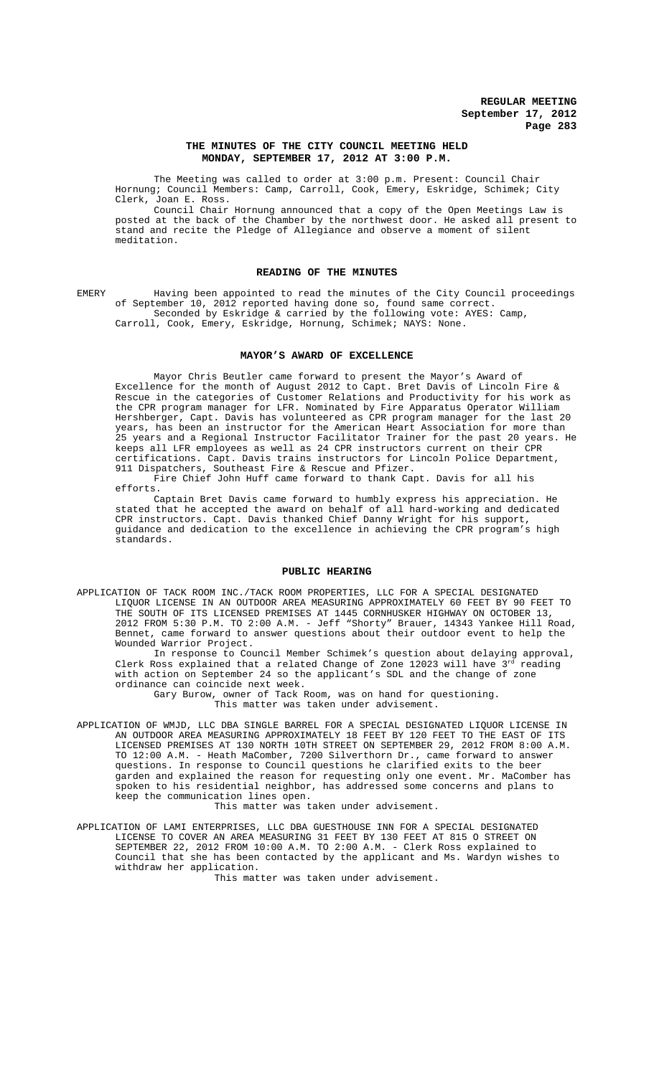## **THE MINUTES OF THE CITY COUNCIL MEETING HELD MONDAY, SEPTEMBER 17, 2012 AT 3:00 P.M.**

The Meeting was called to order at 3:00 p.m. Present: Council Chair Hornung; Council Members: Camp, Carroll, Cook, Emery, Eskridge, Schimek; City Clerk, Joan E. Ross.

Council Chair Hornung announced that a copy of the Open Meetings Law is posted at the back of the Chamber by the northwest door. He asked all present to stand and recite the Pledge of Allegiance and observe a moment of silent meditation.

#### **READING OF THE MINUTES**

EMERY Having been appointed to read the minutes of the City Council proceedings of September 10, 2012 reported having done so, found same correct. Seconded by Eskridge & carried by the following vote: AYES: Camp, Carroll, Cook, Emery, Eskridge, Hornung, Schimek; NAYS: None.

#### **MAYOR'S AWARD OF EXCELLENCE**

Mayor Chris Beutler came forward to present the Mayor's Award of Excellence for the month of August 2012 to Capt. Bret Davis of Lincoln Fire & Rescue in the categories of Customer Relations and Productivity for his work as the CPR program manager for LFR. Nominated by Fire Apparatus Operator William Hershberger, Capt. Davis has volunteered as CPR program manager for the last 20 years, has been an instructor for the American Heart Association for more than 25 years and a Regional Instructor Facilitator Trainer for the past 20 years. He keeps all LFR employees as well as 24 CPR instructors current on their CPR certifications. Capt. Davis trains instructors for Lincoln Police Department, 911 Dispatchers, Southeast Fire & Rescue and Pfizer.

Fire Chief John Huff came forward to thank Capt. Davis for all his efforts.

Captain Bret Davis came forward to humbly express his appreciation. He stated that he accepted the award on behalf of all hard-working and dedicated CPR instructors. Capt. Davis thanked Chief Danny Wright for his support, guidance and dedication to the excellence in achieving the CPR program's high standards.

# **PUBLIC HEARING**

APPLICATION OF TACK ROOM INC./TACK ROOM PROPERTIES, LLC FOR A SPECIAL DESIGNATED LIQUOR LICENSE IN AN OUTDOOR AREA MEASURING APPROXIMATELY 60 FEET BY 90 FEET TO THE SOUTH OF ITS LICENSED PREMISES AT 1445 CORNHUSKER HIGHWAY ON OCTOBER 13, 2012 FROM 5:30 P.M. TO 2:00 A.M. - Jeff "Shorty" Brauer, 14343 Yankee Hill Road, Bennet, came forward to answer questions about their outdoor event to help the Wounded Warrior Project.

In response to Council Member Schimek's question about delaying approval, Clerk Ross explained that a related Change of Zone 12023 will have 3<sup>rd</sup> reading with action on September 24 so the applicant's SDL and the change of zone ordinance can coincide next week.

Gary Burow, owner of Tack Room, was on hand for questioning.

This matter was taken under advisement.

APPLICATION OF WMJD, LLC DBA SINGLE BARREL FOR A SPECIAL DESIGNATED LIQUOR LICENSE IN AN OUTDOOR AREA MEASURING APPROXIMATELY 18 FEET BY 120 FEET TO THE EAST OF ITS LICENSED PREMISES AT 130 NORTH 10TH STREET ON SEPTEMBER 29, 2012 FROM 8:00 A.M. TO 12:00 A.M. - Heath MaComber, 7200 Silverthorn Dr., came forward to answer questions. In response to Council questions he clarified exits to the beer garden and explained the reason for requesting only one event. Mr. MaComber has spoken to his residential neighbor, has addressed some concerns and plans to keep the communication lines open.

This matter was taken under advisement.

APPLICATION OF LAMI ENTERPRISES, LLC DBA GUESTHOUSE INN FOR A SPECIAL DESIGNATED LICENSE TO COVER AN AREA MEASURING 31 FEET BY 130 FEET AT 815 O STREET ON SEPTEMBER 22, 2012 FROM 10:00 A.M. TO 2:00 A.M. - Clerk Ross explained to Council that she has been contacted by the applicant and Ms. Wardyn wishes to withdraw her application.

This matter was taken under advisement.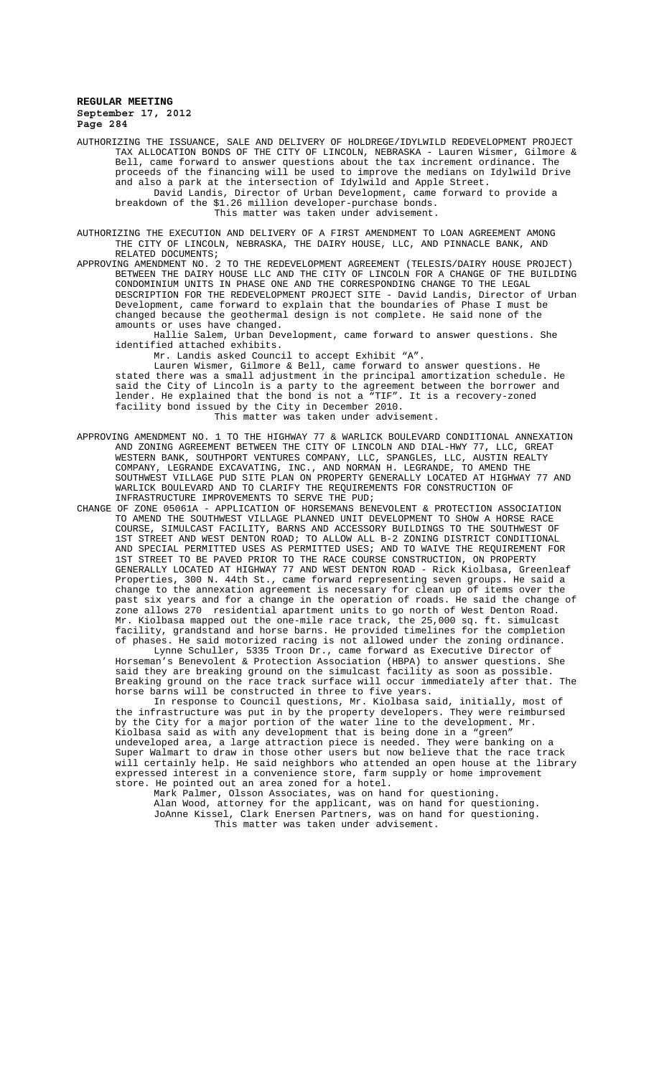AUTHORIZING THE ISSUANCE, SALE AND DELIVERY OF HOLDREGE/IDYLWILD REDEVELOPMENT PROJECT TAX ALLOCATION BONDS OF THE CITY OF LINCOLN, NEBRASKA - Lauren Wismer, Gilmore & Bell, came forward to answer questions about the tax increment ordinance. The proceeds of the financing will be used to improve the medians on Idylwild Drive and also a park at the intersection of Idylwild and Apple Street. David Landis, Director of Urban Development, came forward to provide a breakdown of the \$1.26 million developer-purchase bonds.

This matter was taken under advisement.

- AUTHORIZING THE EXECUTION AND DELIVERY OF A FIRST AMENDMENT TO LOAN AGREEMENT AMONG THE CITY OF LINCOLN, NEBRASKA, THE DAIRY HOUSE, LLC, AND PINNACLE BANK, AND RELATED DOCUMENTS;
- APPROVING AMENDMENT NO. 2 TO THE REDEVELOPMENT AGREEMENT (TELESIS/DAIRY HOUSE PROJECT) BETWEEN THE DAIRY HOUSE LLC AND THE CITY OF LINCOLN FOR A CHANGE OF THE BUILDING CONDOMINIUM UNITS IN PHASE ONE AND THE CORRESPONDING CHANGE TO THE LEGAL DESCRIPTION FOR THE REDEVELOPMENT PROJECT SITE - David Landis, Director of Urban Development, came forward to explain that the boundaries of Phase I must be changed because the geothermal design is not complete. He said none of the amounts or uses have changed.
	- Hallie Salem, Urban Development, came forward to answer questions. She identified attached exhibits.

Mr. Landis asked Council to accept Exhibit "A".

Lauren Wismer, Gilmore & Bell, came forward to answer questions. He stated there was a small adjustment in the principal amortization schedule. He said the City of Lincoln is a party to the agreement between the borrower and lender. He explained that the bond is not a "TIF". It is a recovery-zoned facility bond issued by the City in December 2010.

- This matter was taken under advisement.
- APPROVING AMENDMENT NO. 1 TO THE HIGHWAY 77 & WARLICK BOULEVARD CONDITIONAL ANNEXATION AND ZONING AGREEMENT BETWEEN THE CITY OF LINCOLN AND DIAL-HWY 77, LLC, GREAT WESTERN BANK, SOUTHPORT VENTURES COMPANY, LLC, SPANGLES, LLC, AUSTIN REALTY COMPANY, LEGRANDE EXCAVATING, INC., AND NORMAN H. LEGRANDE, TO AMEND THE SOUTHWEST VILLAGE PUD SITE PLAN ON PROPERTY GENERALLY LOCATED AT HIGHWAY 77 AND WARLICK BOULEVARD AND TO CLARIFY THE REQUIREMENTS FOR CONSTRUCTION OF INFRASTRUCTURE IMPROVEMENTS TO SERVE THE PUD;
- CHANGE OF ZONE 05061A APPLICATION OF HORSEMANS BENEVOLENT & PROTECTION ASSOCIATION TO AMEND THE SOUTHWEST VILLAGE PLANNED UNIT DEVELOPMENT TO SHOW A HORSE RACE COURSE, SIMULCAST FACILITY, BARNS AND ACCESSORY BUILDINGS TO THE SOUTHWEST OF 1ST STREET AND WEST DENTON ROAD; TO ALLOW ALL B-2 ZONING DISTRICT CONDITIONAL AND SPECIAL PERMITTED USES AS PERMITTED USES; AND TO WAIVE THE REQUIREMENT FOR 1ST STREET TO BE PAVED PRIOR TO THE RACE COURSE CONSTRUCTION, ON PROPERTY GENERALLY LOCATED AT HIGHWAY 77 AND WEST DENTON ROAD - Rick Kiolbasa, Greenleaf Properties, 300 N. 44th St., came forward representing seven groups. He said a change to the annexation agreement is necessary for clean up of items over the past six years and for a change in the operation of roads. He said the change of zone allows 270 residential apartment units to go north of West Denton Road. Mr. Kiolbasa mapped out the one-mile race track, the 25,000 sq. ft. simulcast facility, grandstand and horse barns. He provided timelines for the completion of phases. He said motorized racing is not allowed under the zoning ordinance.

Lynne Schuller, 5335 Troon Dr., came forward as Executive Director of Horseman's Benevolent & Protection Association (HBPA) to answer questions. She said they are breaking ground on the simulcast facility as soon as possible. Breaking ground on the race track surface will occur immediately after that. The horse barns will be constructed in three to five years.

In response to Council questions, Mr. Kiolbasa said, initially, most of the infrastructure was put in by the property developers. They were reimbursed by the City for a major portion of the water line to the development. Mr. Kiolbasa said as with any development that is being done in a "green" undeveloped area, a large attraction piece is needed. They were banking on a Super Walmart to draw in those other users but now believe that the race track will certainly help. He said neighbors who attended an open house at the library expressed interest in a convenience store, farm supply or home improvement store. He pointed out an area zoned for a hotel.

Mark Palmer, Olsson Associates, was on hand for questioning. Alan Wood, attorney for the applicant, was on hand for questioning. JoAnne Kissel, Clark Enersen Partners, was on hand for questioning. This matter was taken under advisement.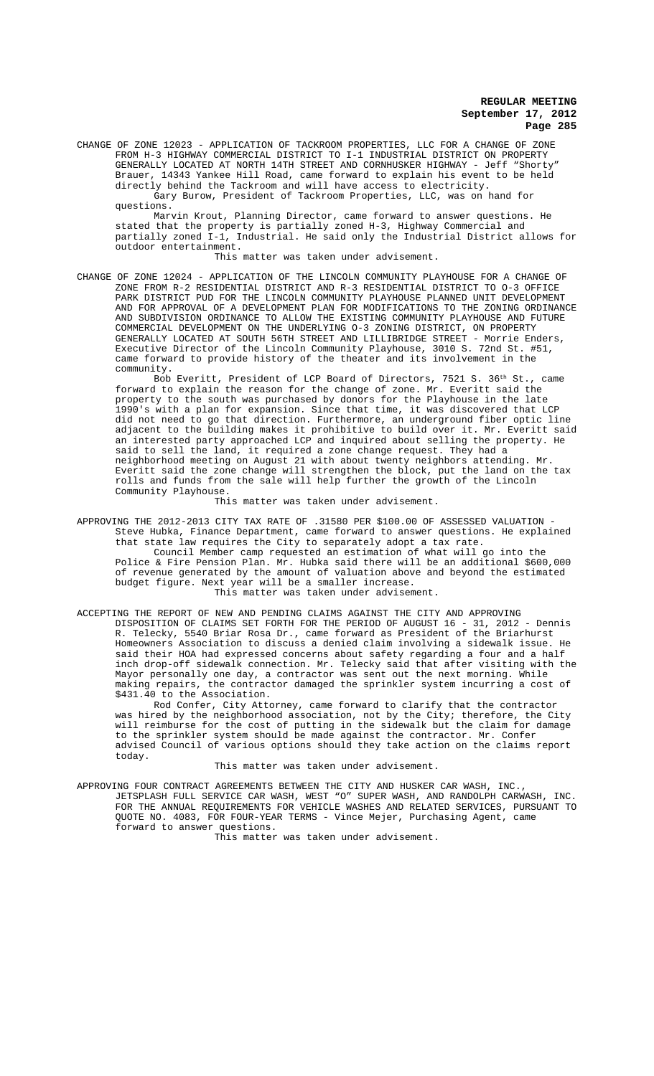CHANGE OF ZONE 12023 - APPLICATION OF TACKROOM PROPERTIES, LLC FOR A CHANGE OF ZONE FROM H-3 HIGHWAY COMMERCIAL DISTRICT TO I-1 INDUSTRIAL DISTRICT ON PROPERTY GENERALLY LOCATED AT NORTH 14TH STREET AND CORNHUSKER HIGHWAY - Jeff Brauer, 14343 Yankee Hill Road, came forward to explain his event to be held directly behind the Tackroom and will have access to electricity. Gary Burow, President of Tackroom Properties, LLC, was on hand for questions.

Marvin Krout, Planning Director, came forward to answer questions. He stated that the property is partially zoned H-3, Highway Commercial and partially zoned I-1, Industrial. He said only the Industrial District allows for outdoor entertainment.

This matter was taken under advisement.

CHANGE OF ZONE 12024 - APPLICATION OF THE LINCOLN COMMUNITY PLAYHOUSE FOR A CHANGE OF ZONE FROM R-2 RESIDENTIAL DISTRICT AND R-3 RESIDENTIAL DISTRICT TO O-3 OFFICE PARK DISTRICT PUD FOR THE LINCOLN COMMUNITY PLAYHOUSE PLANNED UNIT DEVELOPMENT AND FOR APPROVAL OF A DEVELOPMENT PLAN FOR MODIFICATIONS TO THE ZONING ORDINANCE AND SUBDIVISION ORDINANCE TO ALLOW THE EXISTING COMMUNITY PLAYHOUSE AND FUTURE COMMERCIAL DEVELOPMENT ON THE UNDERLYING O-3 ZONING DISTRICT, ON PROPERTY GENERALLY LOCATED AT SOUTH 56TH STREET AND LILLIBRIDGE STREET - Morrie Enders, Executive Director of the Lincoln Community Playhouse, 3010 S. 72nd St. #51, came forward to provide history of the theater and its involvement in the community.

Bob Everitt, President of LCP Board of Directors, 7521 S. 36<sup>th</sup> St., came forward to explain the reason for the change of zone. Mr. Everitt said the property to the south was purchased by donors for the Playhouse in the late 1990's with a plan for expansion. Since that time, it was discovered that LCP did not need to go that direction. Furthermore, an underground fiber optic line adjacent to the building makes it prohibitive to build over it. Mr. Everitt said an interested party approached LCP and inquired about selling the property. He said to sell the land, it required a zone change request. They had a neighborhood meeting on August 21 with about twenty neighbors attending. Mr. Everitt said the zone change will strengthen the block, put the land on the tax rolls and funds from the sale will help further the growth of the Lincoln Community Playhouse.

This matter was taken under advisement.

APPROVING THE 2012-2013 CITY TAX RATE OF .31580 PER \$100.00 OF ASSESSED VALUATION - Steve Hubka, Finance Department, came forward to answer questions. He explained that state law requires the City to separately adopt a tax rate.

Council Member camp requested an estimation of what will go into the Police & Fire Pension Plan. Mr. Hubka said there will be an additional \$600,000 of revenue generated by the amount of valuation above and beyond the estimated budget figure. Next year will be a smaller increase.

## This matter was taken under advisement.

ACCEPTING THE REPORT OF NEW AND PENDING CLAIMS AGAINST THE CITY AND APPROVING DISPOSITION OF CLAIMS SET FORTH FOR THE PERIOD OF AUGUST 16 - 31, 2012 - Dennis R. Telecky, 5540 Briar Rosa Dr., came forward as President of the Briarhurst Homeowners Association to discuss a denied claim involving a sidewalk issue. He said their HOA had expressed concerns about safety regarding a four and a half inch drop-off sidewalk connection. Mr. Telecky said that after visiting with the Mayor personally one day, a contractor was sent out the next morning. While making repairs, the contractor damaged the sprinkler system incurring a cost of \$431.40 to the Association.

Rod Confer, City Attorney, came forward to clarify that the contractor was hired by the neighborhood association, not by the City; therefore, the City will reimburse for the cost of putting in the sidewalk but the claim for damage to the sprinkler system should be made against the contractor. Mr. Confer advised Council of various options should they take action on the claims report today.

#### This matter was taken under advisement.

APPROVING FOUR CONTRACT AGREEMENTS BETWEEN THE CITY AND HUSKER CAR WASH, INC., JETSPLASH FULL SERVICE CAR WASH, WEST "O" SUPER WASH, AND RANDOLPH CARWASH, INC. FOR THE ANNUAL REQUIREMENTS FOR VEHICLE WASHES AND RELATED SERVICES, PURSUANT TO QUOTE NO. 4083, FOR FOUR-YEAR TERMS - Vince Mejer, Purchasing Agent, came forward to answer questions.

This matter was taken under advisement.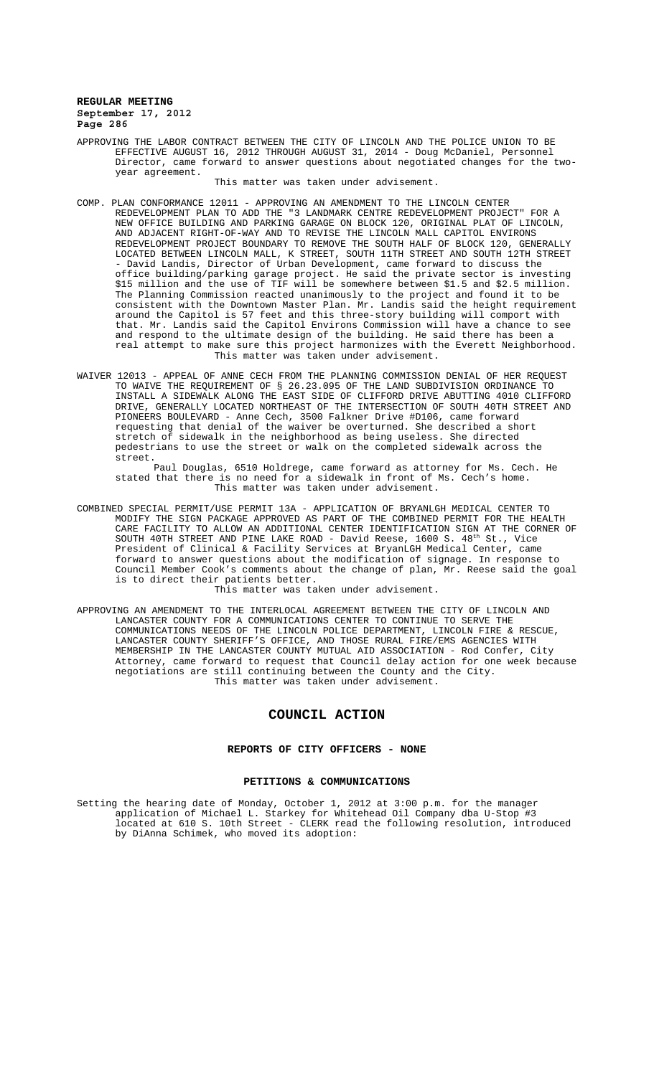APPROVING THE LABOR CONTRACT BETWEEN THE CITY OF LINCOLN AND THE POLICE UNION TO BE EFFECTIVE AUGUST 16, 2012 THROUGH AUGUST 31, 2014 - Doug McDaniel, Personnel Director, came forward to answer questions about negotiated changes for the twoyear agreement.

This matter was taken under advisement.

- COMP. PLAN CONFORMANCE 12011 APPROVING AN AMENDMENT TO THE LINCOLN CENTER REDEVELOPMENT PLAN TO ADD THE "3 LANDMARK CENTRE REDEVELOPMENT PROJECT" FOR A NEW OFFICE BUILDING AND PARKING GARAGE ON BLOCK 120, ORIGINAL PLAT OF LINCOLN, AND ADJACENT RIGHT-OF-WAY AND TO REVISE THE LINCOLN MALL CAPITOL ENVIRONS REDEVELOPMENT PROJECT BOUNDARY TO REMOVE THE SOUTH HALF OF BLOCK 120, GENERALLY LOCATED BETWEEN LINCOLN MALL, K STREET, SOUTH 11TH STREET AND SOUTH 12TH STREET - David Landis, Director of Urban Development, came forward to discuss the office building/parking garage project. He said the private sector is investing \$15 million and the use of TIF will be somewhere between \$1.5 and \$2.5 million. The Planning Commission reacted unanimously to the project and found it to be consistent with the Downtown Master Plan. Mr. Landis said the height requirement around the Capitol is 57 feet and this three-story building will comport with that. Mr. Landis said the Capitol Environs Commission will have a chance to see and respond to the ultimate design of the building. He said there has been a real attempt to make sure this project harmonizes with the Everett Neighborhood. This matter was taken under advisement.
- WAIVER 12013 APPEAL OF ANNE CECH FROM THE PLANNING COMMISSION DENIAL OF HER REQUEST TO WAIVE THE REQUIREMENT OF § 26.23.095 OF THE LAND SUBDIVISION ORDINANCE TO INSTALL A SIDEWALK ALONG THE EAST SIDE OF CLIFFORD DRIVE ABUTTING 4010 CLIFFORD DRIVE, GENERALLY LOCATED NORTHEAST OF THE INTERSECTION OF SOUTH 40TH STREET AND PIONEERS BOULEVARD - Anne Cech, 3500 Falkner Drive #D106, came forward requesting that denial of the waiver be overturned. She described a short stretch of sidewalk in the neighborhood as being useless. She directed pedestrians to use the street or walk on the completed sidewalk across the street.

Paul Douglas, 6510 Holdrege, came forward as attorney for Ms. Cech. He stated that there is no need for a sidewalk in front of Ms. Cech's home. This matter was taken under advisement.

COMBINED SPECIAL PERMIT/USE PERMIT 13A - APPLICATION OF BRYANLGH MEDICAL CENTER TO MODIFY THE SIGN PACKAGE APPROVED AS PART OF THE COMBINED PERMIT FOR THE HEALTH CARE FACILITY TO ALLOW AN ADDITIONAL CENTER IDENTIFICATION SIGN AT THE CORNER OF SOUTH 40TH STREET AND PINE LAKE ROAD - David Reese, 1600 S. 48th St., Vice President of Clinical & Facility Services at BryanLGH Medical Center, came forward to answer questions about the modification of signage. In response to Council Member Cook's comments about the change of plan, Mr. Reese said the goal is to direct their patients better.

This matter was taken under advisement.

APPROVING AN AMENDMENT TO THE INTERLOCAL AGREEMENT BETWEEN THE CITY OF LINCOLN AND LANCASTER COUNTY FOR A COMMUNICATIONS CENTER TO CONTINUE TO SERVE THE COMMUNICATIONS NEEDS OF THE LINCOLN POLICE DEPARTMENT, LINCOLN FIRE & RESCUE, LANCASTER COUNTY SHERIFF'S OFFICE, AND THOSE RURAL FIRE/EMS AGENCIES WITH MEMBERSHIP IN THE LANCASTER COUNTY MUTUAL AID ASSOCIATION - Rod Confer, City Attorney, came forward to request that Council delay action for one week because negotiations are still continuing between the County and the City. This matter was taken under advisement.

# **COUNCIL ACTION**

# **REPORTS OF CITY OFFICERS - NONE**

#### **PETITIONS & COMMUNICATIONS**

Setting the hearing date of Monday, October 1, 2012 at 3:00 p.m. for the manager application of Michael L. Starkey for Whitehead Oil Company dba U-Stop #3 located at 610 S. 10th Street - CLERK read the following resolution, introduced by DiAnna Schimek, who moved its adoption: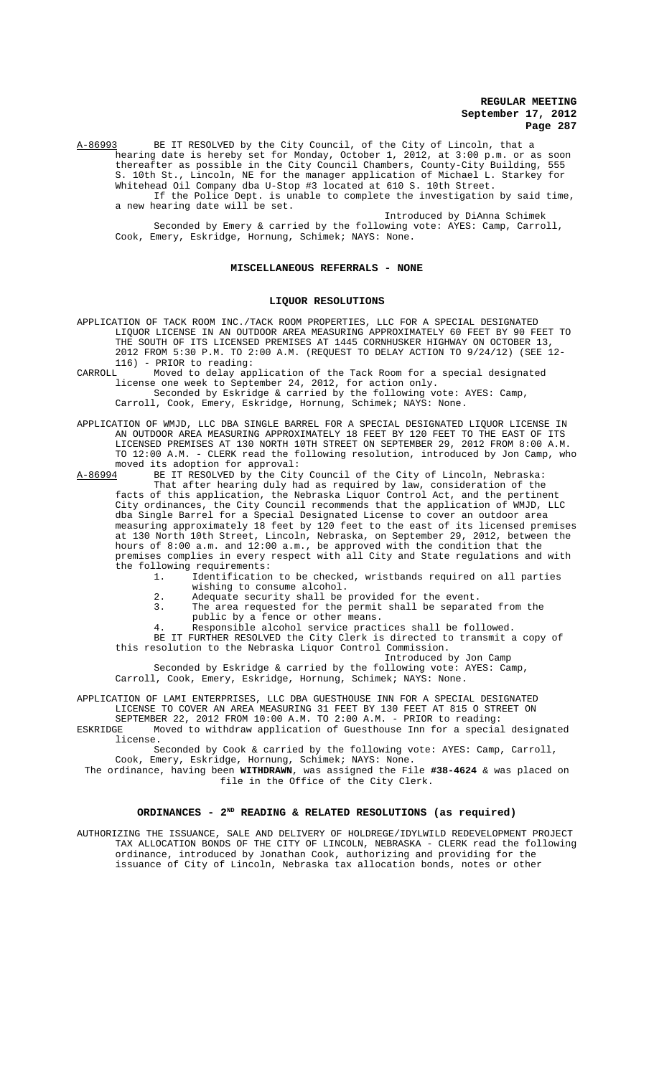A-86993 BE IT RESOLVED by the City Council, of the City of Lincoln, that a hearing date is hereby set for Monday, October 1, 2012, at 3:00 p.m. or as soon thereafter as possible in the City Council Chambers, County-City Building, 555 S. 10th St., Lincoln, NE for the manager application of Michael L. Starkey for Whitehead Oil Company dba U-Stop #3 located at 610 S. 10th Street. If the Police Dept. is unable to complete the investigation by said time, a new hearing date will be set.

Introduced by DiAnna Schimek Seconded by Emery & carried by the following vote: AYES: Camp, Carroll, Cook, Emery, Eskridge, Hornung, Schimek; NAYS: None.

#### **MISCELLANEOUS REFERRALS - NONE**

#### **LIQUOR RESOLUTIONS**

APPLICATION OF TACK ROOM INC./TACK ROOM PROPERTIES, LLC FOR A SPECIAL DESIGNATED LIQUOR LICENSE IN AN OUTDOOR AREA MEASURING APPROXIMATELY 60 FEET BY 90 FEET TO THE SOUTH OF ITS LICENSED PREMISES AT 1445 CORNHUSKER HIGHWAY ON OCTOBER 13, 2012 FROM 5:30 P.M. TO 2:00 A.M. (REQUEST TO DELAY ACTION TO 9/24/12) (SEE 12- 116) - PRIOR to reading:<br>CARROLL Moved to delay app

Moved to delay application of the Tack Room for a special designated license one week to September 24, 2012, for action only.

Seconded by Eskridge & carried by the following vote: AYES: Camp, Carroll, Cook, Emery, Eskridge, Hornung, Schimek; NAYS: None.

APPLICATION OF WMJD, LLC DBA SINGLE BARREL FOR A SPECIAL DESIGNATED LIQUOR LICENSE IN AN OUTDOOR AREA MEASURING APPROXIMATELY 18 FEET BY 120 FEET TO THE EAST OF ITS LICENSED PREMISES AT 130 NORTH 10TH STREET ON SEPTEMBER 29, 2012 FROM 8:00 A.M. TO 12:00 A.M. - CLERK read the following resolution, introduced by Jon Camp, who moved its adoption for approval:<br>A-86994 BE IT RESOLVED by the City

BE IT RESOLVED by the City Council of the City of Lincoln, Nebraska: That after hearing duly had as required by law, consideration of the facts of this application, the Nebraska Liquor Control Act, and the pertinent City ordinances, the City Council recommends that the application of WMJD, LLC dba Single Barrel for a Special Designated License to cover an outdoor area measuring approximately 18 feet by 120 feet to the east of its licensed premises at 130 North 10th Street, Lincoln, Nebraska, on September 29, 2012, between the hours of 8:00 a.m. and 12:00 a.m., be approved with the condition that the premises complies in every respect with all City and State regulations and with the following requirements:<br>1. Identification

Identification to be checked, wristbands required on all parties wishing to consume alcohol.

2. Adequate security shall be provided for the event.

3. The area requested for the permit shall be separated from the public by a fence or other means.

4. Responsible alcohol service practices shall be followed.

BE IT FURTHER RESOLVED the City Clerk is directed to transmit a copy of this resolution to the Nebraska Liquor Control Commission.

Introduced by Jon Camp

Seconded by Eskridge & carried by the following vote: AYES: Camp, Carroll, Cook, Emery, Eskridge, Hornung, Schimek; NAYS: None.

APPLICATION OF LAMI ENTERPRISES, LLC DBA GUESTHOUSE INN FOR A SPECIAL DESIGNATED LICENSE TO COVER AN AREA MEASURING 31 FEET BY 130 FEET AT 815 O STREET ON SEPTEMBER 22, 2012 FROM 10:00 A.M. TO 2:00 A.M. - PRIOR to reading:

ESKRIDGE Moved to withdraw application of Guesthouse Inn for a special designated license.

Seconded by Cook & carried by the following vote: AYES: Camp, Carroll, Cook, Emery, Eskridge, Hornung, Schimek; NAYS: None.

The ordinance, having been **WITHDRAWN**, was assigned the File **#38-4624** & was placed on file in the Office of the City Clerk.

# ORDINANCES - 2<sup>ND</sup> READING & RELATED RESOLUTIONS (as required)

AUTHORIZING THE ISSUANCE, SALE AND DELIVERY OF HOLDREGE/IDYLWILD REDEVELOPMENT PROJECT TAX ALLOCATION BONDS OF THE CITY OF LINCOLN, NEBRASKA - CLERK read the following ordinance, introduced by Jonathan Cook, authorizing and providing for the issuance of City of Lincoln, Nebraska tax allocation bonds, notes or other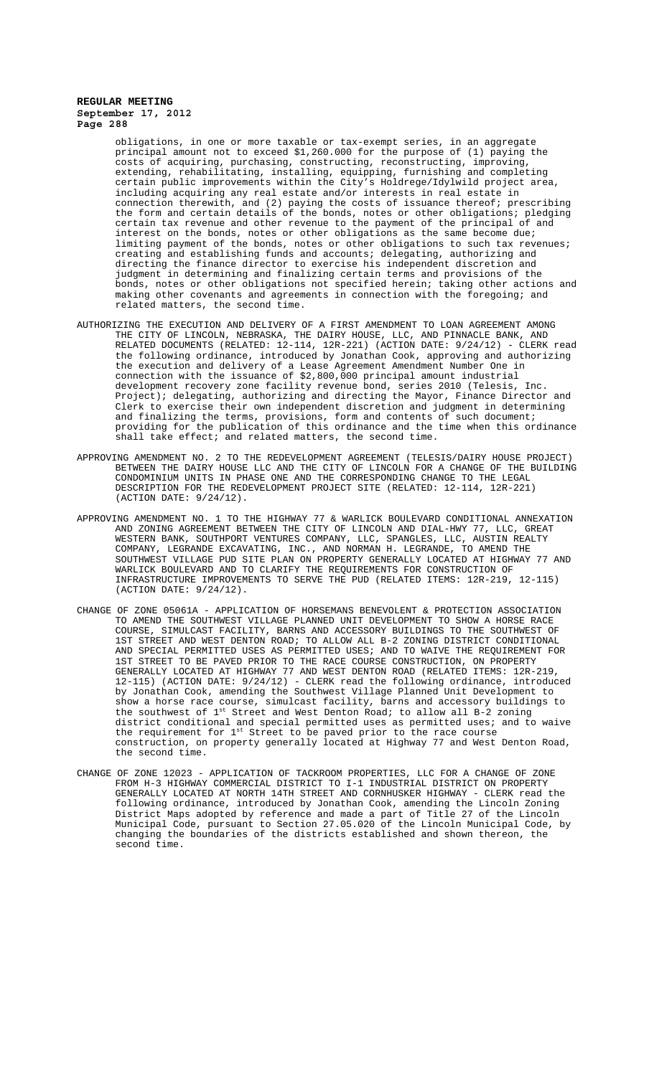obligations, in one or more taxable or tax-exempt series, in an aggregate principal amount not to exceed \$1,260.000 for the purpose of (1) paying the costs of acquiring, purchasing, constructing, reconstructing, improving, extending, rehabilitating, installing, equipping, furnishing and completing certain public improvements within the City's Holdrege/Idylwild project area, including acquiring any real estate and/or interests in real estate in connection therewith, and (2) paying the costs of issuance thereof; prescribing the form and certain details of the bonds, notes or other obligations; pledging certain tax revenue and other revenue to the payment of the principal of and interest on the bonds, notes or other obligations as the same become due; limiting payment of the bonds, notes or other obligations to such tax revenues; creating and establishing funds and accounts; delegating, authorizing and directing the finance director to exercise his independent discretion and judgment in determining and finalizing certain terms and provisions of the bonds, notes or other obligations not specified herein; taking other actions and making other covenants and agreements in connection with the foregoing; and related matters, the second time.

- AUTHORIZING THE EXECUTION AND DELIVERY OF A FIRST AMENDMENT TO LOAN AGREEMENT AMONG THE CITY OF LINCOLN, NEBRASKA, THE DAIRY HOUSE, LLC, AND PINNACLE BANK, AND RELATED DOCUMENTS (RELATED: 12-114, 12R-221) (ACTION DATE: 9/24/12) - CLERK read RELAIED DOCUMENTS (RELAIED: 12 117, 121 221) (NOTION 2011 1/2012)<br>the following ordinance, introduced by Jonathan Cook, approving and authorizing the execution and delivery of a Lease Agreement Amendment Number One in connection with the issuance of \$2,800,000 principal amount industrial development recovery zone facility revenue bond, series 2010 (Telesis, Inc. Project); delegating, authorizing and directing the Mayor, Finance Director and Clerk to exercise their own independent discretion and judgment in determining and finalizing the terms, provisions, form and contents of such document; providing for the publication of this ordinance and the time when this ordinance shall take effect; and related matters, the second time.
- APPROVING AMENDMENT NO. 2 TO THE REDEVELOPMENT AGREEMENT (TELESIS/DAIRY HOUSE PROJECT) BETWEEN THE DAIRY HOUSE LLC AND THE CITY OF LINCOLN FOR A CHANGE OF THE BUILDING CONDOMINIUM UNITS IN PHASE ONE AND THE CORRESPONDING CHANGE TO THE LEGAL DESCRIPTION FOR THE REDEVELOPMENT PROJECT SITE (RELATED: 12-114, 12R-221) (ACTION DATE: 9/24/12).
- APPROVING AMENDMENT NO. 1 TO THE HIGHWAY 77 & WARLICK BOULEVARD CONDITIONAL ANNEXATION AND ZONING AGREEMENT BETWEEN THE CITY OF LINCOLN AND DIAL-HWY 77, LLC, GREAT WESTERN BANK, SOUTHPORT VENTURES COMPANY, LLC, SPANGLES, LLC, AUSTIN REALTY COMPANY, LEGRANDE EXCAVATING, INC., AND NORMAN H. LEGRANDE, TO AMEND THE SOUTHWEST VILLAGE PUD SITE PLAN ON PROPERTY GENERALLY LOCATED AT HIGHWAY 77 AND WARLICK BOULEVARD AND TO CLARIFY THE REQUIREMENTS FOR CONSTRUCTION OF INFRASTRUCTURE IMPROVEMENTS TO SERVE THE PUD (RELATED ITEMS: 12R-219, 12-115) (ACTION DATE: 9/24/12).
- CHANGE OF ZONE 05061A APPLICATION OF HORSEMANS BENEVOLENT & PROTECTION ASSOCIATION TO AMEND THE SOUTHWEST VILLAGE PLANNED UNIT DEVELOPMENT TO SHOW A HORSE RACE SIMULCAST FACILITY, BARNS AND ACCESSORY BUILDINGS TO THE SOUTHWEST OF 1ST STREET AND WEST DENTON ROAD; TO ALLOW ALL B-2 ZONING DISTRICT CONDITIONAL AND SPECIAL PERMITTED USES AS PERMITTED USES; AND TO WAIVE THE REQUIREMENT FOR 1ST STREET TO BE PAVED PRIOR TO THE RACE COURSE CONSTRUCTION, ON PROPERTY GENERALLY LOCATED AT HIGHWAY 77 AND WEST DENTON ROAD (RELATED ITEMS: 12R-219, 12-115) (ACTION DATE: 9/24/12) - CLERK read the following ordinance, introduced by Jonathan Cook, amending the Southwest Village Planned Unit Development to show a horse race course, simulcast facility, barns and accessory buildings to the southwest of 1<sup>st</sup> Street and West Denton Road; to allow all B-2 zoning district conditional and special permitted uses as permitted uses; and to waive the requirement for 1st Street to be paved prior to the race course construction, on property generally located at Highway 77 and West Denton Road, the second time.
- CHANGE OF ZONE 12023 APPLICATION OF TACKROOM PROPERTIES, LLC FOR A CHANGE OF ZONE FROM H-3 HIGHWAY COMMERCIAL DISTRICT TO I-1 INDUSTRIAL DISTRICT ON PROPERTY GENERALLY LOCATED AT NORTH 14TH STREET AND CORNHUSKER HIGHWAY - CLERK read the following ordinance, introduced by Jonathan Cook, amending the Lincoln Zoning District Maps adopted by reference and made a part of Title 27 of the Lincoln Municipal Code, pursuant to Section 27.05.020 of the Lincoln Municipal Code, by changing the boundaries of the districts established and shown thereon, the second time.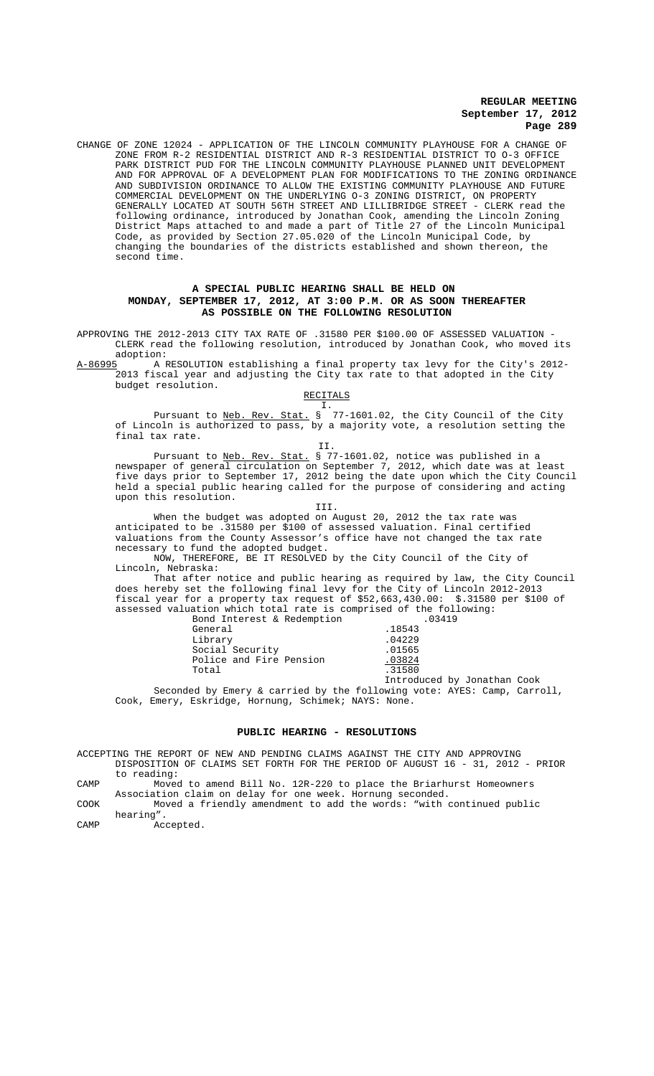CHANGE OF ZONE 12024 - APPLICATION OF THE LINCOLN COMMUNITY PLAYHOUSE FOR A CHANGE OF ZONE FROM R-2 RESIDENTIAL DISTRICT AND R-3 RESIDENTIAL DISTRICT TO O-3 OFFICE PARK DISTRICT PUD FOR THE LINCOLN COMMUNITY PLAYHOUSE PLANNED UNIT DEVELOPMENT AND FOR APPROVAL OF A DEVELOPMENT PLAN FOR MODIFICATIONS TO THE ZONING ORDINANCE AND SUBDIVISION ORDINANCE TO ALLOW THE EXISTING COMMUNITY PLAYHOUSE AND FUTURE COMMERCIAL DEVELOPMENT ON THE UNDERLYING O-3 ZONING DISTRICT, ON PROPERTY GENERALLY LOCATED AT SOUTH 56TH STREET AND LILLIBRIDGE STREET - CLERK read the following ordinance, introduced by Jonathan Cook, amending the Lincoln Zoning District Maps attached to and made a part of Title 27 of the Lincoln Municipal Code, as provided by Section 27.05.020 of the Lincoln Municipal Code, by changing the boundaries of the districts established and shown thereon, the second time.

#### **A SPECIAL PUBLIC HEARING SHALL BE HELD ON MONDAY, SEPTEMBER 17, 2012, AT 3:00 P.M. OR AS SOON THEREAFTER AS POSSIBLE ON THE FOLLOWING RESOLUTION**

APPROVING THE 2012-2013 CITY TAX RATE OF .31580 PER \$100.00 OF ASSESSED VALUATION - CLERK read the following resolution, introduced by Jonathan Cook, who moved its

adoption:<br>A-86995 A I A RESOLUTION establishing a final property tax levy for the City's 2012-2013 fiscal year and adjusting the City tax rate to that adopted in the City budget resolution.

RECITALS

I. Pursuant to <u>Neb. Rev. Stat.</u> § 77-1601.02, the City Council of the City of Lincoln is authorized to pass, by a majority vote, a resolution setting the final tax rate.

II.

Pursuant to <u>Neb. Rev. Stat.</u> § 77-1601.02, notice was published in a newspaper of general circulation on September 7, 2012, which date was at least five days prior to September 17, 2012 being the date upon which the City Council held a special public hearing called for the purpose of considering and acting upon this resolution.

III.

When the budget was adopted on August 20, 2012 the tax rate was anticipated to be .31580 per \$100 of assessed valuation. Final certified valuations from the County Assessor's office have not changed the tax rate necessary to fund the adopted budget.

NOW, THEREFORE, BE IT RESOLVED by the City Council of the City of Lincoln, Nebraska:

That after notice and public hearing as required by law, the City Council does hereby set the following final levy for the City of Lincoln 2012-2013 fiscal year for a property tax request of \$52,663,430.00: \$.31580 per \$100 of assessed valuation which total rate is comprised of the following:

| Bond Interest & Redemption | .03419        |
|----------------------------|---------------|
| General                    | .18543        |
| Library                    | .04229        |
| Social Security            | .01565        |
| Police and Fire Pension    | .03824        |
| Total                      | .31580        |
|                            | Introduced by |

d by Jonathan Cook Seconded by Emery & carried by the following vote: AYES: Camp, Carroll, Cook, Emery, Eskridge, Hornung, Schimek; NAYS: None.

#### **PUBLIC HEARING - RESOLUTIONS**

ACCEPTING THE REPORT OF NEW AND PENDING CLAIMS AGAINST THE CITY AND APPROVING DISPOSITION OF CLAIMS SET FORTH FOR THE PERIOD OF AUGUST 16 - 31, 2012 - PRIOR to reading:

CAMP Moved to amend Bill No. 12R-220 to place the Briarhurst Homeowners Association claim on delay for one week. Hornung seconded.

COOK Moved a friendly amendment to add the words: "with continued public hearing".

CAMP Accepted.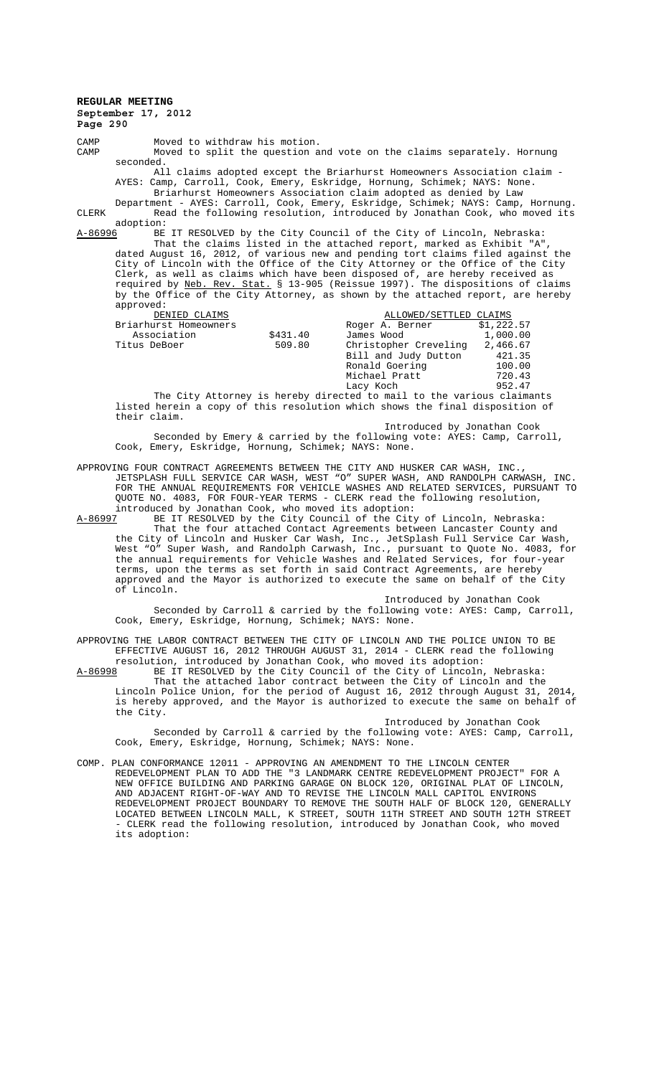**REGULAR MEETING September 17, 2012 Page 290** CAMP Moved to withdraw his motion.<br>CAMP Moved to split the question a Moved to split the question and vote on the claims separately. Hornung seconded. All claims adopted except the Briarhurst Homeowners Association claim - AYES: Camp, Carroll, Cook, Emery, Eskridge, Hornung, Schimek; NAYS: None. Briarhurst Homeowners Association claim adopted as denied by Law Department - AYES: Carroll, Cook, Emery, Eskridge, Schimek; NAYS: Camp, Hornung. CLERK Read the following resolution, introduced by Jonathan Cook, who moved its adoption: A-86996 BE IT RESOLVED by the City Council of the City of Lincoln, Nebraska: That the claims listed in the attached report, marked as Exhibit "A", dated August 16, 2012, of various new and pending tort claims filed against the City of Lincoln with the Office of the City Attorney or the Office of the City Clerk, as well as claims which have been disposed of, are hereby received as required by Neb. Rev. Stat. § 13-905 (Reissue 1997). The dispositions of claims by the Office of the City Attorney, as shown by the attached report, are hereby approved:<br>DENIED CLAIMS ALLOWED/SETTLED CLAIMS<br>Roger A. Berner \$1,222.57 Briarhurst Homeowners<br>
Association  $$431.40$  Roger A. Berner  $$1,222.57$ <br>  $1,000.00$  Association \$431.40 James Wood 1,000.00 Christopher Creveling 2,466.67<br>Bill and Judy Dutton 421.35 Bill and Judy Dutton 421.35<br>Ronald Goering 100.00 Ronald Goering 100.00<br>Michael Pratt 720.43 Michael Pratt 720.43<br>
Lacy Koch 952.47 Lacy Koch 952.47 The City Attorney is hereby directed to mail to the various claimants listed herein a copy of this resolution which shows the final disposition of their claim. Introduced by Jonathan Cook Seconded by Emery & carried by the following vote: AYES: Camp, Carroll, Cook, Emery, Eskridge, Hornung, Schimek; NAYS: None.

APPROVING FOUR CONTRACT AGREEMENTS BETWEEN THE CITY AND HUSKER CAR WASH, INC., JETSPLASH FULL SERVICE CAR WASH, WEST "O" SUPER WASH, AND RANDOLPH CARWASH, INC. FOR THE ANNUAL REQUIREMENTS FOR VEHICLE WASHES AND RELATED SERVICES, PURSUANT TO QUOTE NO. 4083, FOR FOUR-YEAR TERMS - CLERK read the following resolution, introduced by Jonathan Cook, who moved its adoption:<br>A-86997 BE IT RESOLVED by the City Council of the City

A-86997 BE IT RESOLVED by the City Council of the City of Lincoln, Nebraska: That the four attached Contact Agreements between Lancaster County and the City of Lincoln and Husker Car Wash, Inc., JetSplash Full Service Car Wash, West "O" Super Wash, and Randolph Carwash, Inc., pursuant to Quote No. 4083, for the annual requirements for Vehicle Washes and Related Services, for four-year terms, upon the terms as set forth in said Contract Agreements, are hereby approved and the Mayor is authorized to execute the same on behalf of the City of Lincoln.

Introduced by Jonathan Cook Seconded by Carroll & carried by the following vote: AYES: Camp, Carroll, Cook, Emery, Eskridge, Hornung, Schimek; NAYS: None.

APPROVING THE LABOR CONTRACT BETWEEN THE CITY OF LINCOLN AND THE POLICE UNION TO BE EFFECTIVE AUGUST 16, 2012 THROUGH AUGUST 31, 2014 - CLERK read the following resolution, introduced by Jonathan Cook, who moved its adoption:

A-86998 BE IT RESOLVED by the City Council of the City of Lincoln, Nebraska: That the attached labor contract between the City of Lincoln and the Lincoln Police Union, for the period of August 16, 2012 through August 31, 2014, is hereby approved, and the Mayor is authorized to execute the same on behalf of the City.

Introduced by Jonathan Cook Seconded by Carroll & carried by the following vote: AYES: Camp, Carroll, Cook, Emery, Eskridge, Hornung, Schimek; NAYS: None.

COMP. PLAN CONFORMANCE 12011 - APPROVING AN AMENDMENT TO THE LINCOLN CENTER REDEVELOPMENT PLAN TO ADD THE "3 LANDMARK CENTRE REDEVELOPMENT PROJECT" FOR A NEW OFFICE BUILDING AND PARKING GARAGE ON BLOCK 120, ORIGINAL PLAT OF LINCOLN, AND ADJACENT RIGHT-OF-WAY AND TO REVISE THE LINCOLN MALL CAPITOL ENVIRONS REDEVELOPMENT PROJECT BOUNDARY TO REMOVE THE SOUTH HALF OF BLOCK 120, GENERALLY LOCATED BETWEEN LINCOLN MALL, K STREET, SOUTH 11TH STREET AND SOUTH 12TH STREET - CLERK read the following resolution, introduced by Jonathan Cook, who moved its adoption: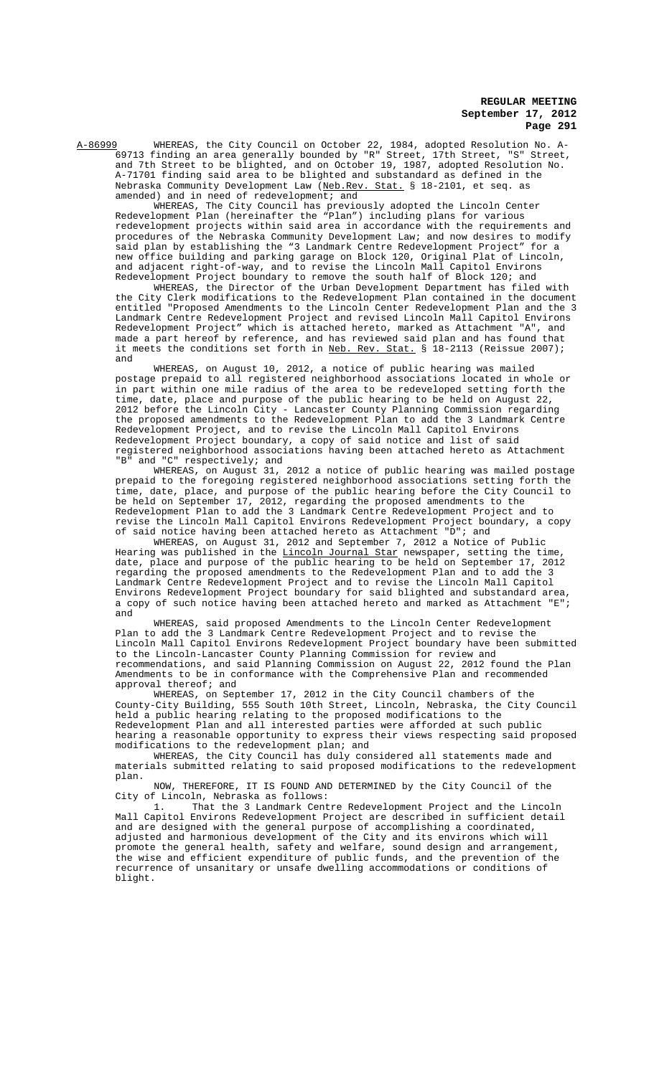A-86999 WHEREAS, the City Council on October 22, 1984, adopted Resolution No. A-69713 finding an area generally bounded by "R" Street, 17th Street, "S" Street, and 7th Street to be blighted, and on October 19, 1987, adopted Resolution No. A-71701 finding said area to be blighted and substandard as defined in the Nebraska Community Development Law (Neb.Rev. Stat. § 18-2101, et seq. as amended) and in need of redevelopment; and

WHEREAS, The City Council has previously adopted the Lincoln Center Redevelopment Plan (hereinafter the "Plan") including plans for various redevelopment projects within said area in accordance with the requirements and procedures of the Nebraska Community Development Law; and now desires to modify said plan by establishing the "3 Landmark Centre Redevelopment Project" for a new office building and parking garage on Block 120, Original Plat of Lincoln, and adjacent right-of-way, and to revise the Lincoln Mall Capitol Environs Redevelopment Project boundary to remove the south half of Block 120; and

WHEREAS, the Director of the Urban Development Department has filed with the City Clerk modifications to the Redevelopment Plan contained in the document entitled "Proposed Amendments to the Lincoln Center Redevelopment Plan and the 3 Landmark Centre Redevelopment Project and revised Lincoln Mall Capitol Environs Redevelopment Project" which is attached hereto, marked as Attachment "A", and made a part hereof by reference, and has reviewed said plan and has found that it meets the conditions set forth in Neb. Rev. Stat. § 18-2113 (Reissue 2007); and

WHEREAS, on August 10, 2012, a notice of public hearing was mailed postage prepaid to all registered neighborhood associations located in whole or in part within one mile radius of the area to be redeveloped setting forth the time, date, place and purpose of the public hearing to be held on August 22, 2012 before the Lincoln City - Lancaster County Planning Commission regarding the proposed amendments to the Redevelopment Plan to add the 3 Landmark Centre Redevelopment Project, and to revise the Lincoln Mall Capitol Environs Redevelopment Project boundary, a copy of said notice and list of said registered neighborhood associations having been attached hereto as Attachment "B" and "C" respectively; and

WHEREAS, on August 31, 2012 a notice of public hearing was mailed postage prepaid to the foregoing registered neighborhood associations setting forth the time, date, place, and purpose of the public hearing before the City Council to be held on September 17, 2012, regarding the proposed amendments to the Redevelopment Plan to add the 3 Landmark Centre Redevelopment Project and to revise the Lincoln Mall Capitol Environs Redevelopment Project boundary, a copy of said notice having been attached hereto as Attachment "D"; and

WHEREAS, on August 31, 2012 and September 7, 2012 a Notice of Public Hearing was published in the <u>Lincoln Journal Star</u> newspaper, setting the time, date, place and purpose of the public hearing to be held on September 17, 2012 regarding the proposed amendments to the Redevelopment Plan and to add the 3 Landmark Centre Redevelopment Project and to revise the Lincoln Mall Capitol Environs Redevelopment Project boundary for said blighted and substandard area, a copy of such notice having been attached hereto and marked as Attachment and

WHEREAS, said proposed Amendments to the Lincoln Center Redevelopment Plan to add the 3 Landmark Centre Redevelopment Project and to revise the Lincoln Mall Capitol Environs Redevelopment Project boundary have been submitted to the Lincoln-Lancaster County Planning Commission for review and recommendations, and said Planning Commission on August 22, 2012 found the Plan Amendments to be in conformance with the Comprehensive Plan and recommended approval thereof; and

WHEREAS, on September 17, 2012 in the City Council chambers of the County-City Building, 555 South 10th Street, Lincoln, Nebraska, the City Council held a public hearing relating to the proposed modifications to the Redevelopment Plan and all interested parties were afforded at such public hearing a reasonable opportunity to express their views respecting said proposed modifications to the redevelopment plan; and

WHEREAS, the City Council has duly considered all statements made and materials submitted relating to said proposed modifications to the redevelopment plan.

NOW, THEREFORE, IT IS FOUND AND DETERMINED by the City Council of the City of Lincoln, Nebraska as follows:<br>1. That the 3 Landmark Cent

That the 3 Landmark Centre Redevelopment Project and the Lincoln Mall Capitol Environs Redevelopment Project are described in sufficient detail and are designed with the general purpose of accomplishing a coordinated, adjusted and harmonious development of the City and its environs which will promote the general health, safety and welfare, sound design and arrangement, the wise and efficient expenditure of public funds, and the prevention of the recurrence of unsanitary or unsafe dwelling accommodations or conditions of blight.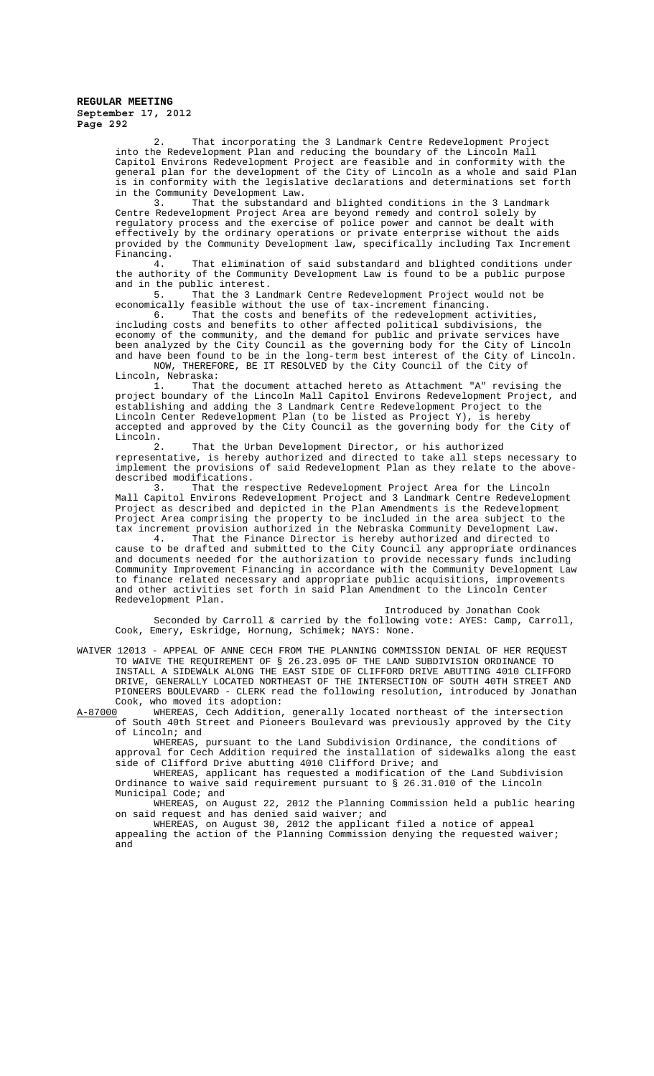2. That incorporating the 3 Landmark Centre Redevelopment Project into the Redevelopment Plan and reducing the boundary of the Lincoln Mall Capitol Environs Redevelopment Project are feasible and in conformity with the general plan for the development of the City of Lincoln as a whole and said Plan is in conformity with the legislative declarations and determinations set forth in the Community Development Law.<br>3<br>That the substandard

That the substandard and blighted conditions in the 3 Landmark Centre Redevelopment Project Area are beyond remedy and control solely by regulatory process and the exercise of police power and cannot be dealt with effectively by the ordinary operations or private enterprise without the aids provided by the Community Development law, specifically including Tax Increment Financing.<br>4.

That elimination of said substandard and blighted conditions under the authority of the Community Development Law is found to be a public purpose and in the public interest.

5. That the 3 Landmark Centre Redevelopment Project would not be economically feasible without the use of tax-increment financing.<br>6. That the costs and benefits of the redevelopment act

That the costs and benefits of the redevelopment activities, including costs and benefits to other affected political subdivisions, the economy of the community, and the demand for public and private services have been analyzed by the City Council as the governing body for the City of Lincoln and have been found to be in the long-term best interest of the City of Lincoln.

NOW, THEREFORE, BE IT RESOLVED by the City Council of the City of Lincoln, Nebraska:

1. That the document attached hereto as Attachment "A" revising the project boundary of the Lincoln Mall Capitol Environs Redevelopment Project, and establishing and adding the 3 Landmark Centre Redevelopment Project to the Lincoln Center Redevelopment Plan (to be listed as Project Y), is hereby accepted and approved by the City Council as the governing body for the City of Lincoln.

2. That the Urban Development Director, or his authorized representative, is hereby authorized and directed to take all steps necessary to implement the provisions of said Redevelopment Plan as they relate to the abovedescribed modifications.

3. That the respective Redevelopment Project Area for the Lincoln Mall Capitol Environs Redevelopment Project and 3 Landmark Centre Redevelopment Project as described and depicted in the Plan Amendments is the Redevelopment Project Area comprising the property to be included in the area subject to the tax increment provision authorized in the Nebraska Community Development Law.

4. That the Finance Director is hereby authorized and directed to cause to be drafted and submitted to the City Council any appropriate ordinances and documents needed for the authorization to provide necessary funds including Community Improvement Financing in accordance with the Community Development Law to finance related necessary and appropriate public acquisitions, improvements and other activities set forth in said Plan Amendment to the Lincoln Center Redevelopment Plan.

Introduced by Jonathan Cook

Seconded by Carroll & carried by the following vote: AYES: Camp, Carroll, Cook, Emery, Eskridge, Hornung, Schimek; NAYS: None.

WAIVER 12013 - APPEAL OF ANNE CECH FROM THE PLANNING COMMISSION DENIAL OF HER REQUEST TO WAIVE THE REQUIREMENT OF § 26.23.095 OF THE LAND SUBDIVISION ORDINANCE TO INSTALL A SIDEWALK ALONG THE EAST SIDE OF CLIFFORD DRIVE ABUTTING 4010 CLIFFORD DRIVE, GENERALLY LOCATED NORTHEAST OF THE INTERSECTION OF SOUTH 40TH STREET AND PIONEERS BOULEVARD - CLERK read the following resolution, introduced by Jonathan Cook, who moved its adoption:<br>A-87000 WHEREAS, Cech Addition,

WHEREAS, Cech Addition, generally located northeast of the intersection of South 40th Street and Pioneers Boulevard was previously approved by the City of Lincoln; and

WHEREAS, pursuant to the Land Subdivision Ordinance, the conditions of approval for Cech Addition required the installation of sidewalks along the east side of Clifford Drive abutting 4010 Clifford Drive; and

WHEREAS, applicant has requested a modification of the Land Subdivision Ordinance to waive said requirement pursuant to § 26.31.010 of the Lincoln Municipal Code; and

WHEREAS, on August 22, 2012 the Planning Commission held a public hearing on said request and has denied said waiver; and

WHEREAS, on August 30, 2012 the applicant filed a notice of appeal appealing the action of the Planning Commission denying the requested waiver; and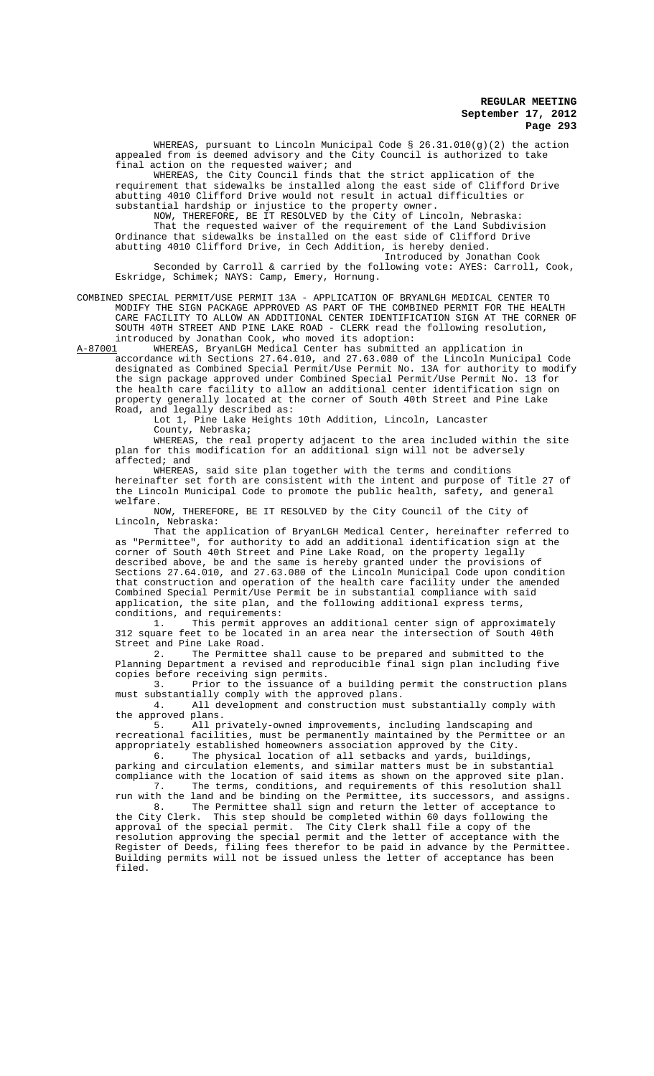WHEREAS, pursuant to Lincoln Municipal Code §  $26.31.010(q)(2)$  the action appealed from is deemed advisory and the City Council is authorized to take final action on the requested waiver; and

WHEREAS, the City Council finds that the strict application of the requirement that sidewalks be installed along the east side of Clifford Drive abutting 4010 Clifford Drive would not result in actual difficulties or substantial hardship or injustice to the property owner.

NOW, THEREFORE, BE IT RESOLVED by the City of Lincoln, Nebraska: That the requested waiver of the requirement of the Land Subdivision Ordinance that sidewalks be installed on the east side of Clifford Drive abutting 4010 Clifford Drive, in Cech Addition, is hereby denied.

Introduced by Jonathan Cook

Seconded by Carroll & carried by the following vote: AYES: Carroll, Cook, Eskridge, Schimek; NAYS: Camp, Emery, Hornung.

COMBINED SPECIAL PERMIT/USE PERMIT 13A - APPLICATION OF BRYANLGH MEDICAL CENTER TO MODIFY THE SIGN PACKAGE APPROVED AS PART OF THE COMBINED PERMIT FOR THE HEALTH CARE FACILITY TO ALLOW AN ADDITIONAL CENTER IDENTIFICATION SIGN AT THE CORNER OF SOUTH 40TH STREET AND PINE LAKE ROAD - CLERK read the following resolution, introduced by Jonathan Cook, who moved its adoption:

A-87001 MHEREAS, BryanLGH Medical Center has submitted an application in accordance with Sections 27.64.010, and 27.63.080 of the Lincoln Municipal Code designated as Combined Special Permit/Use Permit No. 13A for authority to modify the sign package approved under Combined Special Permit/Use Permit No. 13 for the health care facility to allow an additional center identification sign on property generally located at the corner of South 40th Street and Pine Lake Road, and legally described as:

Lot 1, Pine Lake Heights 10th Addition, Lincoln, Lancaster County, Nebraska;

WHEREAS, the real property adjacent to the area included within the site plan for this modification for an additional sign will not be adversely affected; and

WHEREAS, said site plan together with the terms and conditions hereinafter set forth are consistent with the intent and purpose of Title 27 of the Lincoln Municipal Code to promote the public health, safety, and general welfare.

NOW, THEREFORE, BE IT RESOLVED by the City Council of the City of Lincoln, Nebraska:

That the application of BryanLGH Medical Center, hereinafter referred to as "Permittee", for authority to add an additional identification sign at the corner of South 40th Street and Pine Lake Road, on the property legally described above, be and the same is hereby granted under the provisions of Sections 27.64.010, and 27.63.080 of the Lincoln Municipal Code upon condition that construction and operation of the health care facility under the amended Combined Special Permit/Use Permit be in substantial compliance with said application, the site plan, and the following additional express terms, conditions, and requirements:<br>1. This permit appro

This permit approves an additional center sign of approximately 312 square feet to be located in an area near the intersection of South 40th Street and Pine Lake Road.

2. The Permittee shall cause to be prepared and submitted to the Planning Department a revised and reproducible final sign plan including five copies before receiving sign permits.<br>3. Prior to the issuance of

Prior to the issuance of a building permit the construction plans must substantially comply with the approved plans.

4. All development and construction must substantially comply with the approved plans.

5. All privately-owned improvements, including landscaping and recreational facilities, must be permanently maintained by the Permittee or an appropriately established homeowners association approved by the City.<br>6. The physical location of all setbacks and vards, building The physical location of all setbacks and yards, buildings

parking and circulation elements, and similar matters must be in substantial compliance with the location of said items as shown on the approved site plan. 7. The terms, conditions, and requirements of this resolution shall

run with the land and be binding on the Permittee, its successors, and assigns. 8. The Permittee shall sign and return the letter of acceptance to<br>the City Clerk. This step should be completed within 60 days following the This step should be completed within 60 days following the approval of the special permit. The City Clerk shall file a copy of the resolution approving the special permit and the letter of acceptance with the Register of Deeds, filing fees therefor to be paid in advance by the Permittee. Building permits will not be issued unless the letter of acceptance has been filed.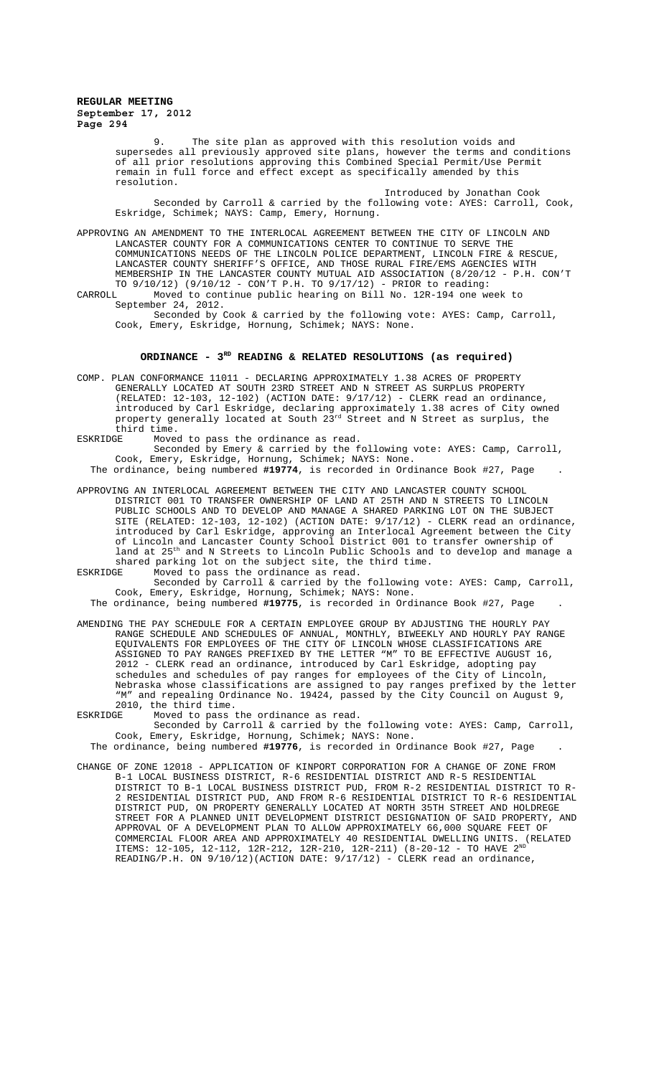> 9. The site plan as approved with this resolution voids and supersedes all previously approved site plans, however the terms and conditions of all prior resolutions approving this Combined Special Permit/Use Permit remain in full force and effect except as specifically amended by this resolution. resolution.

> Introduced by Jonathan Cook Seconded by Carroll & carried by the following vote: AYES: Carroll, Cook, Eskridge, Schimek; NAYS: Camp, Emery, Hornung.

APPROVING AN AMENDMENT TO THE INTERLOCAL AGREEMENT BETWEEN THE CITY OF LINCOLN AND LANCASTER COUNTY FOR A COMMUNICATIONS CENTER TO CONTINUE TO SERVE THE COMMUNICATIONS NEEDS OF THE LINCOLN POLICE DEPARTMENT, LINCOLN FIRE & RESCUE, LANCASTER COUNTY SHERIFF'S OFFICE, AND THOSE RURAL FIRE/EMS AGENCIES WITH MEMBERSHIP IN THE LANCASTER COUNTY MUTUAL AID ASSOCIATION (8/20/12 - P.H. CON'T TO 9/10/12) (9/10/12 - CON'T P.H. TO 9/17/12) - PRIOR to reading: CARROLL Moved to continue public hearing on Bill No. 12R-194 one week to

September 24, 2012.

Seconded by Cook & carried by the following vote: AYES: Camp, Carroll, Cook, Emery, Eskridge, Hornung, Schimek; NAYS: None.

# ORDINANCE - 3<sup>RD</sup> READING & RELATED RESOLUTIONS (as required)

COMP. PLAN CONFORMANCE 11011 - DECLARING APPROXIMATELY 1.38 ACRES OF PROPERTY GENERALLY LOCATED AT SOUTH 23RD STREET AND N STREET AS SURPLUS PROPERTY (RELATED: 12-103, 12-102) (ACTION DATE: 9/17/12) - CLERK read an ordinance, introduced by Carl Eskridge, declaring approximately 1.38 acres of City owned property generally located at South  $23^{\rm rd}$  Street and N Street as surplus, the third time.<br>ESKRIDGE Move

ESKRIDGE Moved to pass the ordinance as read.

Seconded by Emery & carried by the following vote: AYES: Camp, Carroll, Cook, Emery, Eskridge, Hornung, Schimek; NAYS: None.

The ordinance, being numbered **#19774**, is recorded in Ordinance Book #27, Page .

APPROVING AN INTERLOCAL AGREEMENT BETWEEN THE CITY AND LANCASTER COUNTY SCHOOL DISTRICT 001 TO TRANSFER OWNERSHIP OF LAND AT 25TH AND N STREETS TO LINCOLN PUBLIC SCHOOLS AND TO DEVELOP AND MANAGE A SHARED PARKING LOT ON THE SUBJECT SITE (RELATED: 12-103, 12-102) (ACTION DATE: 9/17/12) - CLERK read an ordinance, introduced by Carl Eskridge, approving an Interlocal Agreement between the City of Lincoln and Lancaster County School District 001 to transfer ownership of land at 25<sup>th</sup> and N Streets to Lincoln Public Schools and to develop and manage a shared parking lot on the subject site, the third time.<br>ESKRIDGE Moved to pass the ordinance as read.

Moved to pass the ordinance as read.

Seconded by Carroll & carried by the following vote: AYES: Camp, Carroll, Cook, Emery, Eskridge, Hornung, Schimek; NAYS: None. The ordinance, being numbered **#19775**, is recorded in Ordinance Book #27, Page .

AMENDING THE PAY SCHEDULE FOR A CERTAIN EMPLOYEE GROUP BY ADJUSTING THE HOURLY PAY RANGE SCHEDULE AND SCHEDULES OF ANNUAL, MONTHLY, BIWEEKLY AND HOURLY PAY RANGE EQUIVALENTS FOR EMPLOYEES OF THE CITY OF LINCOLN WHOSE CLASSIFICATIONS ARE ASSIGNED TO PAY RANGES PREFIXED BY THE LETTER "M" TO BE EFFECTIVE AUGUST 16, 2012 - CLERK read an ordinance, introduced by Carl Eskridge, adopting pay schedules and schedules of pay ranges for employees of the City of Lincoln, Nebraska whose classifications are assigned to pay ranges prefixed by the letter "M" and repealing Ordinance No. 19424, passed by the City Council on August 9, 2010, the third time.<br>ESKRIDGE Moved to pass t

Moved to pass the ordinance as read.

Seconded by Carroll & carried by the following vote: AYES: Camp, Carroll, Cook, Emery, Eskridge, Hornung, Schimek; NAYS: None.

The ordinance, being numbered **#19776**, is recorded in Ordinance Book #27, Page .

CHANGE OF ZONE 12018 - APPLICATION OF KINPORT CORPORATION FOR A CHANGE OF ZONE FROM B-1 LOCAL BUSINESS DISTRICT, R-6 RESIDENTIAL DISTRICT AND R-5 RESIDENTIAL DISTRICT TO B-1 LOCAL BUSINESS DISTRICT PUD, FROM R-2 RESIDENTIAL DISTRICT TO R-2 RESIDENTIAL DISTRICT PUD, AND FROM R-6 RESIDENTIAL DISTRICT TO R-6 RESIDENTIAL DISTRICT PUD, ON PROPERTY GENERALLY LOCATED AT NORTH 35TH STREET AND HOLDREGE STREET FOR A PLANNED UNIT DEVELOPMENT DISTRICT DESIGNATION OF SAID PROPERTY, AND APPROVAL OF A DEVELOPMENT PLAN TO ALLOW APPROXIMATELY 66,000 SQUARE FEET OF COMMERCIAL FLOOR AREA AND APPROXIMATELY 40 RESIDENTIAL DWELLING UNITS. (RELATED ITEMS: 12-105, 12-112, 12R-212, 12R-210, 12R-211) (8-20-12 - TO HAVE  $2^{ND}$ READING/P.H. ON 9/10/12)(ACTION DATE: 9/17/12) - CLERK read an ordinance,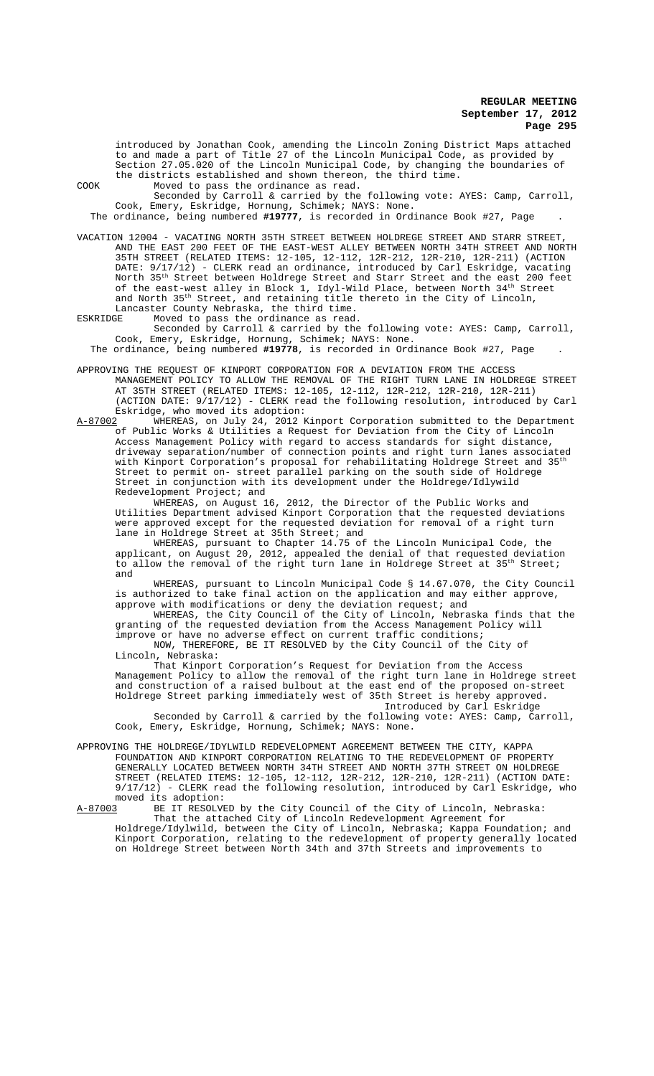introduced by Jonathan Cook, amending the Lincoln Zoning District Maps attached to and made a part of Title 27 of the Lincoln Municipal Code, as provided by Section 27.05.020 of the Lincoln Municipal Code, by changing the boundaries of the districts established and shown thereon, the third time. COOK Moved to pass the ordinance as read.

Seconded by Carroll & carried by the following vote: AYES: Camp, Carroll, Cook, Emery, Eskridge, Hornung, Schimek; NAYS: None.

The ordinance, being numbered **#19777**, is recorded in Ordinance Book #27, Page .

VACATION 12004 - VACATING NORTH 35TH STREET BETWEEN HOLDREGE STREET AND STARR STREET, AND THE EAST 200 FEET OF THE EAST-WEST ALLEY BETWEEN NORTH 34TH STREET AND NORTH 35TH STREET (RELATED ITEMS: 12-105, 12-112, 12R-212, 12R-210, 12R-211) (ACTION DATE: 9/17/12) - CLERK read an ordinance, introduced by Carl Eskridge, vacating North 35th Street between Holdrege Street and Starr Street and the east 200 feet of the east-west alley in Block 1, Idyl-Wild Place, between North 34th Street and North 35<sup>th</sup> Street, and retaining title thereto in the City of Lincoln, Lancaster County Nebraska, the third time.<br>ESKRIDGE Moved to pass the ordinance as read

Moved to pass the ordinance as read.

Seconded by Carroll & carried by the following vote: AYES: Camp, Carroll, Cook, Emery, Eskridge, Hornung, Schimek; NAYS: None.

The ordinance, being numbered **#19778**, is recorded in Ordinance Book #27, Page .

- APPROVING THE REQUEST OF KINPORT CORPORATION FOR A DEVIATION FROM THE ACCESS MANAGEMENT POLICY TO ALLOW THE REMOVAL OF THE RIGHT TURN LANE IN HOLDREGE STREET AT 35TH STREET (RELATED ITEMS: 12-105, 12-112, 12R-212, 12R-210, 12R-211) (ACTION DATE: 9/17/12) - CLERK read the following resolution, introduced by Carl Eskridge, who moved its adoption:
- A-87002 MHEREAS, on July 24, 2012 Kinport Corporation submitted to the Department A-87002 WHEREAS, on July 24, 2012 Kinport Corporation submitted to the Departm of Public Works & Utilities a Request for Deviation from the City of Lincoln Access Management Policy with regard to access standards for sight distance, driveway separation/number of connection points and right turn lanes associated with Kinport Corporation's proposal for rehabilitating Holdrege Street and 35<sup>th</sup> Street to permit on- street parallel parking on the south side of Holdrege Street in conjunction with its development under the Holdrege/Idlywild Redevelopment Project; and

WHEREAS, on August 16, 2012, the Director of the Public Works and Utilities Department advised Kinport Corporation that the requested deviations were approved except for the requested deviation for removal of a right turn lane in Holdrege Street at 35th Street; and

WHEREAS, pursuant to Chapter 14.75 of the Lincoln Municipal Code, the applicant, on August 20, 2012, appealed the denial of that requested deviation to allow the removal of the right turn lane in Holdrege Street at 35<sup>th</sup> Street; and

WHEREAS, pursuant to Lincoln Municipal Code § 14.67.070, the City Council is authorized to take final action on the application and may either approve, approve with modifications or deny the deviation request; and

WHEREAS, the City Council of the City of Lincoln, Nebraska finds that the granting of the requested deviation from the Access Management Policy will improve or have no adverse effect on current traffic conditions;

NOW, THEREFORE, BE IT RESOLVED by the City Council of the City of Lincoln, Nebraska:

That Kinport Corporation's Request for Deviation from the Access Management Policy to allow the removal of the right turn lane in Holdrege street and construction of a raised bulbout at the east end of the proposed on-street Holdrege Street parking immediately west of 35th Street is hereby approved. Introduced by Carl Eskridge

Seconded by Carroll & carried by the following vote: AYES: Camp, Carroll, Cook, Emery, Eskridge, Hornung, Schimek; NAYS: None.

APPROVING THE HOLDREGE/IDYLWILD REDEVELOPMENT AGREEMENT BETWEEN THE CITY, KAPPA FOUNDATION AND KINPORT CORPORATION RELATING TO THE REDEVELOPMENT OF PROPERTY GENERALLY LOCATED BETWEEN NORTH 34TH STREET AND NORTH 37TH STREET ON HOLDREGE STREET (RELATED ITEMS: 12-105, 12-112, 12R-212, 12R-210, 12R-211) (ACTION DATE: 9/17/12) - CLERK read the following resolution, introduced by Carl Eskridge, who moved its adoption:<br>A-87003 BE IT RESOLVE

A-87003 BE IT RESOLVED by the City Council of the City of Lincoln, Nebraska: That the attached City of Lincoln Redevelopment Agreement for Holdrege/Idylwild, between the City of Lincoln, Nebraska; Kappa Foundation; and Kinport Corporation, relating to the redevelopment of property generally located on Holdrege Street between North 34th and 37th Streets and improvements to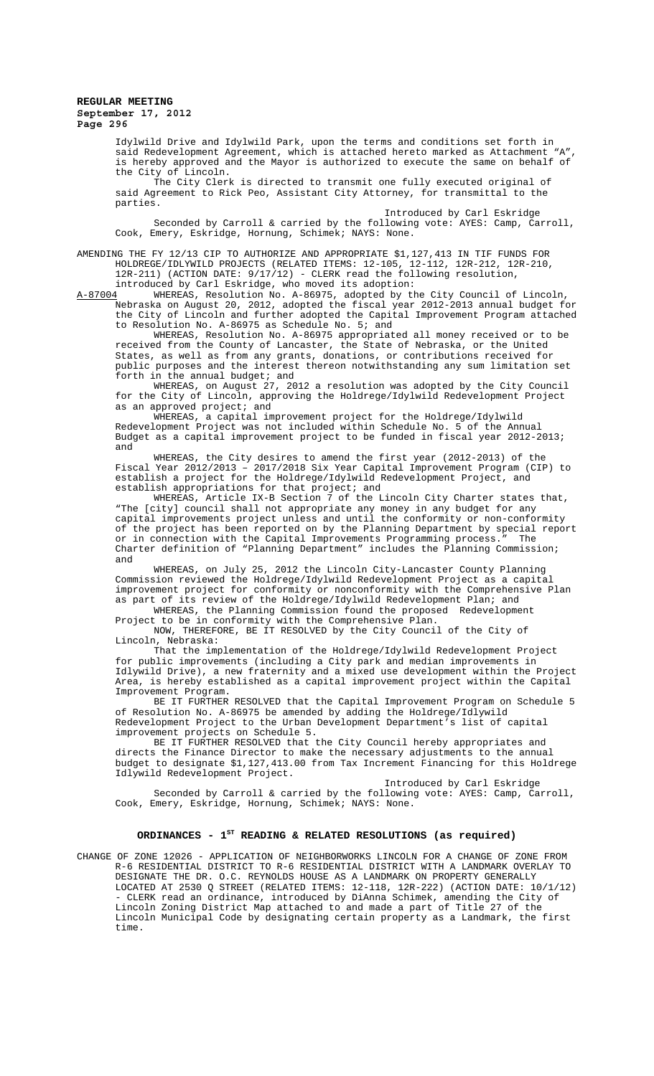Idylwild Drive and Idylwild Park, upon the terms and conditions set forth in said Redevelopment Agreement, which is attached hereto marked as Attachment "A", is hereby approved and the Mayor is authorized to execute the same on behalf of the City of Lincoln.

The City Clerk is directed to transmit one fully executed original of said Agreement to Rick Peo, Assistant City Attorney, for transmittal to the parties.

Introduced by Carl Eskridge Seconded by Carroll & carried by the following vote: AYES: Camp, Carroll, Cook, Emery, Eskridge, Hornung, Schimek; NAYS: None.

AMENDING THE FY 12/13 CIP TO AUTHORIZE AND APPROPRIATE \$1,127,413 IN TIF FUNDS FOR HOLDREGE/IDLYWILD PROJECTS (RELATED ITEMS: 12-105, 12-112, 12R-212, 12R-210, 12R-211) (ACTION DATE: 9/17/12) - CLERK read the following resolution, introduced by Carl Eskridge, who moved its adoption:<br>A-87004 WHEREAS, Resolution No. A-86975, adopted by the

WHEREAS, Resolution No. A-86975, adopted by the City Council of Lincoln, Nebraska on August 20, 2012, adopted the fiscal year 2012-2013 annual budget for the City of Lincoln and further adopted the Capital Improvement Program attached to Resolution No. A-86975 as Schedule No. 5; and

WHEREAS, Resolution No. A-86975 appropriated all money received or to be received from the County of Lancaster, the State of Nebraska, or the United States, as well as from any grants, donations, or contributions received for public purposes and the interest thereon notwithstanding any sum limitation set forth in the annual budget; and

WHEREAS, on August 27, 2012 a resolution was adopted by the City Council for the City of Lincoln, approving the Holdrege/Idylwild Redevelopment Project as an approved project; and

WHEREAS, a capital improvement project for the Holdrege/Idylwild Redevelopment Project was not included within Schedule No. 5 of the Annual Budget as a capital improvement project to be funded in fiscal year 2012-2013; and

WHEREAS, the City desires to amend the first year (2012-2013) of the Fiscal Year 2012/2013 – 2017/2018 Six Year Capital Improvement Program (CIP) to establish a project for the Holdrege/Idylwild Redevelopment Project, and establish appropriations for that project; and

WHEREAS, Article IX-B Section 7 of the Lincoln City Charter states that, "The [city] council shall not appropriate any money in any budget for any capital improvements project unless and until the conformity or non-conformity of the project has been reported on by the Planning Department by special report or in connection with the Capital Improvements Programming process." The Charter definition of "Planning Department" includes the Planning Commission; and

WHEREAS, on July 25, 2012 the Lincoln City-Lancaster County Planning Commission reviewed the Holdrege/Idylwild Redevelopment Project as a capital improvement project for conformity or nonconformity with the Comprehensive Plan as part of its review of the Holdrege/Idylwild Redevelopment Plan; and WHEREAS, the Planning Commission found the proposed Redevelopment

Project to be in conformity with the Comprehensive Plan. NOW, THEREFORE, BE IT RESOLVED by the City Council of the City of

Lincoln, Nebraska: That the implementation of the Holdrege/Idylwild Redevelopment Project

for public improvements (including a City park and median improvements in Idlywild Drive), a new fraternity and a mixed use development within the Project Area, is hereby established as a capital improvement project within the Capital Improvement Program.

BE IT FURTHER RESOLVED that the Capital Improvement Program on Schedule 5 of Resolution No. A-86975 be amended by adding the Holdrege/Idlywild Redevelopment Project to the Urban Development Department's list of capital improvement projects on Schedule 5.

BE IT FURTHER RESOLVED that the City Council hereby appropriates and directs the Finance Director to make the necessary adjustments to the annual budget to designate \$1,127,413.00 from Tax Increment Financing for this Holdrege Idlywild Redevelopment Project.

Introduced by Carl Eskridge Seconded by Carroll & carried by the following vote: AYES: Camp, Carroll, Cook, Emery, Eskridge, Hornung, Schimek; NAYS: None.

### **ORDINANCES - 1ST READING & RELATED RESOLUTIONS (as required)**

CHANGE OF ZONE 12026 - APPLICATION OF NEIGHBORWORKS LINCOLN FOR A CHANGE OF ZONE FROM R-6 RESIDENTIAL DISTRICT TO R-6 RESIDENTIAL DISTRICT WITH A LANDMARK OVERLAY TO DESIGNATE THE DR. O.C. REYNOLDS HOUSE AS A LANDMARK ON PROPERTY GENERALLY LOCATED AT 2530 Q STREET (RELATED ITEMS: 12-118, 12R-222) (ACTION DATE: 10/1/12) - CLERK read an ordinance, introduced by DiAnna Schimek, amending the City of Lincoln Zoning District Map attached to and made a part of Title 27 of the Lincoln Municipal Code by designating certain property as a Landmark, the first time.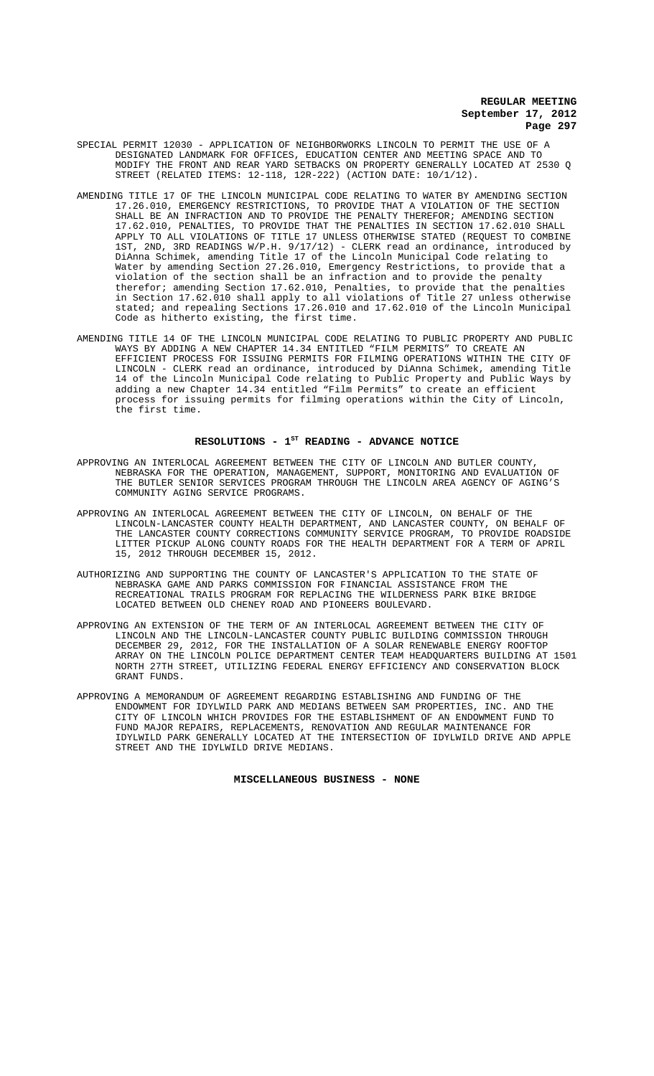- SPECIAL PERMIT 12030 APPLICATION OF NEIGHBORWORKS LINCOLN TO PERMIT THE USE OF A DESIGNATED LANDMARK FOR OFFICES, EDUCATION CENTER AND MEETING SPACE AND TO MODIFY THE FRONT AND REAR YARD SETBACKS ON PROPERTY GENERALLY LOCATED AT 2530 Q STREET (RELATED ITEMS: 12-118, 12R-222) (ACTION DATE: 10/1/12).
- AMENDING TITLE 17 OF THE LINCOLN MUNICIPAL CODE RELATING TO WATER BY AMENDING SECTION 17.26.010, EMERGENCY RESTRICTIONS, TO PROVIDE THAT A VIOLATION OF THE SECTION SHALL BE AN INFRACTION AND TO PROVIDE THE PENALTY THEREFOR; AMENDING SECTION 17.62.010, PENALTIES, TO PROVIDE THAT THE PENALTIES IN SECTION 17.62.010 SHALL APPLY TO ALL VIOLATIONS OF TITLE 17 UNLESS OTHERWISE STATED (REQUEST TO COMBINE 1ST, 2ND, 3RD READINGS W/P.H. 9/17/12) - CLERK read an ordinance, introduced by DiAnna Schimek, amending Title 17 of the Lincoln Municipal Code relating to Water by amending Section 27.26.010, Emergency Restrictions, to provide that a violation of the section shall be an infraction and to provide the penalty therefor; amending Section 17.62.010, Penalties, to provide that the penalties in Section 17.62.010 shall apply to all violations of Title 27 unless otherwise stated; and repealing Sections 17.26.010 and 17.62.010 of the Lincoln Municipal Code as hitherto existing, the first time.
- AMENDING TITLE 14 OF THE LINCOLN MUNICIPAL CODE RELATING TO PUBLIC PROPERTY AND PUBLIC<br>WAYS BY ADDING A NEW CHAPTER 14.34 ENTITLED "FILM PERMITS" TO CREATE AN WAYS BY ADDING A NEW CHAPTER 14.34 ENTITLED "FILM PERMITS" EFFICIENT PROCESS FOR ISSUING PERMITS FOR FILMING OPERATIONS WITHIN THE CITY OF LINCOLN - CLERK read an ordinance, introduced by DiAnna Schimek, amending Title 14 of the Lincoln Municipal Code relating to Public Property and Public Ways by adding a new Chapter 14.34 entitled "Film Permits" to create an efficient process for issuing permits for filming operations within the City of Lincoln, the first time.

# RESOLUTIONS - 1<sup>st</sup> READING - ADVANCE NOTICE

- APPROVING AN INTERLOCAL AGREEMENT BETWEEN THE CITY OF LINCOLN AND BUTLER COUNTY, NEBRASKA FOR THE OPERATION, MANAGEMENT, SUPPORT, MONITORING AND EVALUATION OF THE BUTLER SENIOR SERVICES PROGRAM THROUGH THE LINCOLN AREA AGENCY OF AGING'S COMMUNITY AGING SERVICE PROGRAMS.
- APPROVING AN INTERLOCAL AGREEMENT BETWEEN THE CITY OF LINCOLN, ON BEHALF OF THE LINCOLN-LANCASTER COUNTY HEALTH DEPARTMENT, AND LANCASTER COUNTY, ON BEHALF OF THE LANCASTER COUNTY CORRECTIONS COMMUNITY SERVICE PROGRAM, TO PROVIDE ROADSIDE LITTER PICKUP ALONG COUNTY ROADS FOR THE HEALTH DEPARTMENT FOR A TERM OF APRIL 15, 2012 THROUGH DECEMBER 15, 2012.
- AUTHORIZING AND SUPPORTING THE COUNTY OF LANCASTER'S APPLICATION TO THE STATE OF NEBRASKA GAME AND PARKS COMMISSION FOR FINANCIAL ASSISTANCE FROM THE RECREATIONAL TRAILS PROGRAM FOR REPLACING THE WILDERNESS PARK BIKE BRIDGE LOCATED BETWEEN OLD CHENEY ROAD AND PIONEERS BOULEVARD.
- APPROVING AN EXTENSION OF THE TERM OF AN INTERLOCAL AGREEMENT BETWEEN THE CITY OF LINCOLN AND THE LINCOLN-LANCASTER COUNTY PUBLIC BUILDING COMMISSION THROUGH DECEMBER 29, 2012, FOR THE INSTALLATION OF A SOLAR RENEWABLE ENERGY ROOFTOP ARRAY ON THE LINCOLN POLICE DEPARTMENT CENTER TEAM HEADQUARTERS BUILDING AT 1501 NORTH 27TH STREET, UTILIZING FEDERAL ENERGY EFFICIENCY AND CONSERVATION BLOCK GRANT FUNDS.
- APPROVING A MEMORANDUM OF AGREEMENT REGARDING ESTABLISHING AND FUNDING OF THE ENDOWMENT FOR IDYLWILD PARK AND MEDIANS BETWEEN SAM PROPERTIES, INC. AND THE CITY OF LINCOLN WHICH PROVIDES FOR THE ESTABLISHMENT OF AN ENDOWMENT FUND TO FUND MAJOR REPAIRS, REPLACEMENTS, RENOVATION AND REGULAR MAINTENANCE FOR IDYLWILD PARK GENERALLY LOCATED AT THE INTERSECTION OF IDYLWILD DRIVE AND APPLE STREET AND THE IDYLWILD DRIVE MEDIANS.

#### **MISCELLANEOUS BUSINESS - NONE**